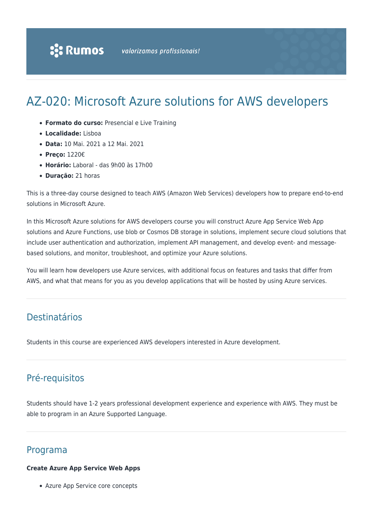# AZ-020: Microsoft Azure solutions for AWS developers

- **Formato do curso:** Presencial e Live Training
- **Localidade:** Lisboa
- **Data:** 10 Mai. 2021 a 12 Mai. 2021
- **Preço:** 1220€
- **Horário:** Laboral das 9h00 às 17h00
- **Duração:** 21 horas

This is a three-day course designed to teach AWS (Amazon Web Services) developers how to prepare end-to-end solutions in Microsoft Azure.

In this Microsoft Azure solutions for AWS developers course you will construct Azure App Service Web App solutions and Azure Functions, use blob or Cosmos DB storage in solutions, implement secure cloud solutions that include user authentication and authorization, implement API management, and develop event- and messagebased solutions, and monitor, troubleshoot, and optimize your Azure solutions.

You will learn how developers use Azure services, with additional focus on features and tasks that differ from AWS, and what that means for you as you develop applications that will be hosted by using Azure services.

# Destinatários

Students in this course are experienced AWS developers interested in Azure development.

## Pré-requisitos

Students should have 1-2 years professional development experience and experience with AWS. They must be able to program in an Azure Supported Language.

### Programa

#### **Create Azure App Service Web Apps**

Azure App Service core concepts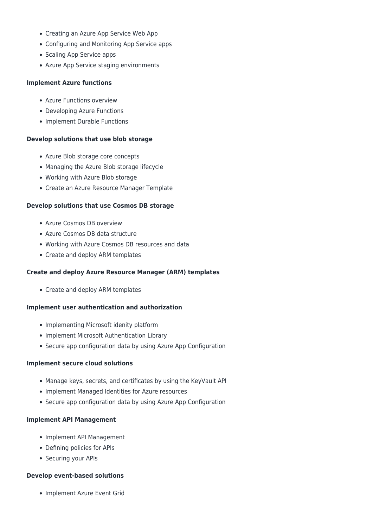- Creating an Azure App Service Web App
- Configuring and Monitoring App Service apps
- Scaling App Service apps
- Azure App Service staging environments

#### **Implement Azure functions**

- Azure Functions overview
- Developing Azure Functions
- Implement Durable Functions

#### **Develop solutions that use blob storage**

- Azure Blob storage core concepts
- Managing the Azure Blob storage lifecycle
- Working with Azure Blob storage
- Create an Azure Resource Manager Template

#### **Develop solutions that use Cosmos DB storage**

- Azure Cosmos DB overview
- Azure Cosmos DB data structure
- Working with Azure Cosmos DB resources and data
- Create and deploy ARM templates

#### **Create and deploy Azure Resource Manager (ARM) templates**

• Create and deploy ARM templates

#### **Implement user authentication and authorization**

- Implementing Microsoft idenity platform
- Implement Microsoft Authentication Library
- Secure app configuration data by using Azure App Configuration

#### **Implement secure cloud solutions**

- Manage keys, secrets, and certificates by using the KeyVault API
- Implement Managed Identities for Azure resources
- Secure app configuration data by using Azure App Configuration

#### **Implement API Management**

- Implement API Management
- Defining policies for APIs
- Securing your APIs

#### **Develop event-based solutions**

• Implement Azure Event Grid